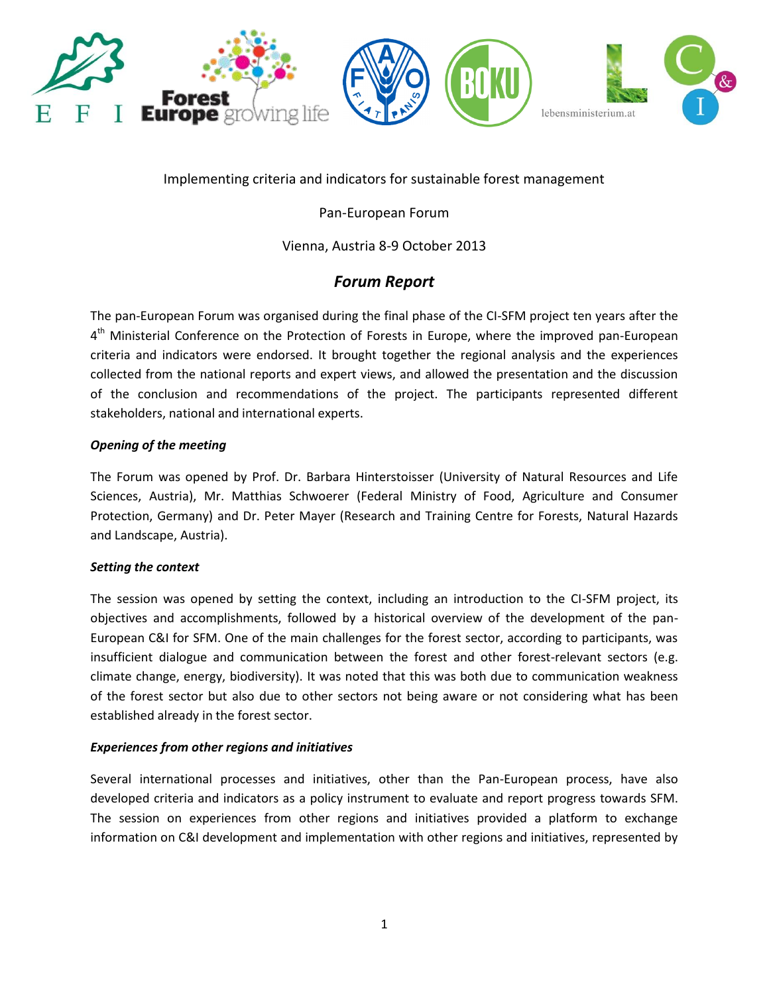

Implementing criteria and indicators for sustainable forest management

Pan-European Forum

Vienna, Austria 8-9 October 2013

# *Forum Report*

The pan-European Forum was organised during the final phase of the CI-SFM project ten years after the 4<sup>th</sup> Ministerial Conference on the Protection of Forests in Europe, where the improved pan-European criteria and indicators were endorsed. It brought together the regional analysis and the experiences collected from the national reports and expert views, and allowed the presentation and the discussion of the conclusion and recommendations of the project. The participants represented different stakeholders, national and international experts.

### *Opening of the meeting*

The Forum was opened by Prof. Dr. Barbara Hinterstoisser (University of Natural Resources and Life Sciences, Austria), Mr. Matthias Schwoerer (Federal Ministry of Food, Agriculture and Consumer Protection, Germany) and Dr. Peter Mayer (Research and Training Centre for Forests, Natural Hazards and Landscape, Austria).

#### *Setting the context*

The session was opened by setting the context, including an introduction to the CI-SFM project, its objectives and accomplishments, followed by a historical overview of the development of the pan-European C&I for SFM. One of the main challenges for the forest sector, according to participants, was insufficient dialogue and communication between the forest and other forest-relevant sectors (e.g. climate change, energy, biodiversity). It was noted that this was both due to communication weakness of the forest sector but also due to other sectors not being aware or not considering what has been established already in the forest sector.

#### *Experiences from other regions and initiatives*

Several international processes and initiatives, other than the Pan-European process, have also developed criteria and indicators as a policy instrument to evaluate and report progress towards SFM. The session on experiences from other regions and initiatives provided a platform to exchange information on C&I development and implementation with other regions and initiatives, represented by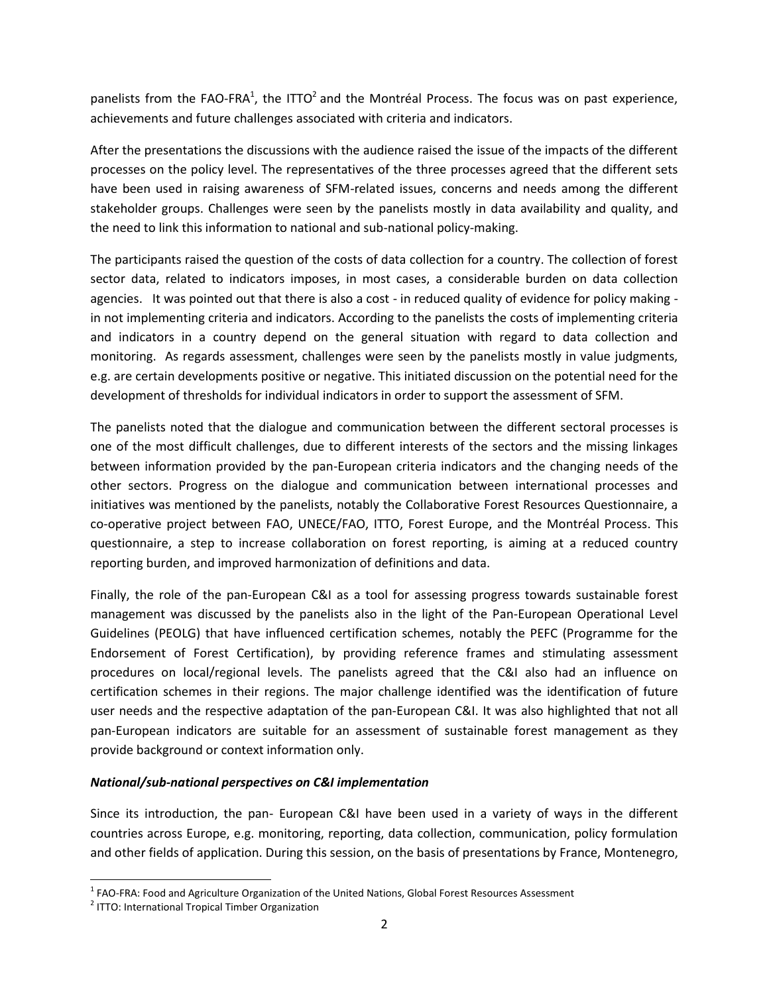panelists from the FAO-FRA<sup>1</sup>, the ITTO<sup>2</sup> and the Montréal Process. The focus was on past experience, achievements and future challenges associated with criteria and indicators.

After the presentations the discussions with the audience raised the issue of the impacts of the different processes on the policy level. The representatives of the three processes agreed that the different sets have been used in raising awareness of SFM-related issues, concerns and needs among the different stakeholder groups. Challenges were seen by the panelists mostly in data availability and quality, and the need to link this information to national and sub-national policy-making.

The participants raised the question of the costs of data collection for a country. The collection of forest sector data, related to indicators imposes, in most cases, a considerable burden on data collection agencies. It was pointed out that there is also a cost - in reduced quality of evidence for policy making in not implementing criteria and indicators. According to the panelists the costs of implementing criteria and indicators in a country depend on the general situation with regard to data collection and monitoring. As regards assessment, challenges were seen by the panelists mostly in value judgments, e.g. are certain developments positive or negative. This initiated discussion on the potential need for the development of thresholds for individual indicators in order to support the assessment of SFM.

The panelists noted that the dialogue and communication between the different sectoral processes is one of the most difficult challenges, due to different interests of the sectors and the missing linkages between information provided by the pan-European criteria indicators and the changing needs of the other sectors. Progress on the dialogue and communication between international processes and initiatives was mentioned by the panelists, notably the Collaborative Forest Resources Questionnaire, a co-operative project between FAO, UNECE/FAO, ITTO, Forest Europe, and the Montréal Process. This questionnaire, a step to increase collaboration on forest reporting, is aiming at a reduced country reporting burden, and improved harmonization of definitions and data.

Finally, the role of the pan-European C&I as a tool for assessing progress towards sustainable forest management was discussed by the panelists also in the light of the Pan-European Operational Level Guidelines (PEOLG) that have influenced certification schemes, notably the PEFC (Programme for the Endorsement of Forest Certification), by providing reference frames and stimulating assessment procedures on local/regional levels. The panelists agreed that the C&I also had an influence on certification schemes in their regions. The major challenge identified was the identification of future user needs and the respective adaptation of the pan-European C&I. It was also highlighted that not all pan-European indicators are suitable for an assessment of sustainable forest management as they provide background or context information only.

#### *National/sub-national perspectives on C&I implementation*

Since its introduction, the pan- European C&I have been used in a variety of ways in the different countries across Europe, e.g. monitoring, reporting, data collection, communication, policy formulation and other fields of application. During this session, on the basis of presentations by France, Montenegro,

 $\overline{\phantom{a}}$ 

 $1$  FAO-FRA: Food and Agriculture Organization of the United Nations, Global Forest Resources Assessment

<sup>&</sup>lt;sup>2</sup> ITTO: International Tropical Timber Organization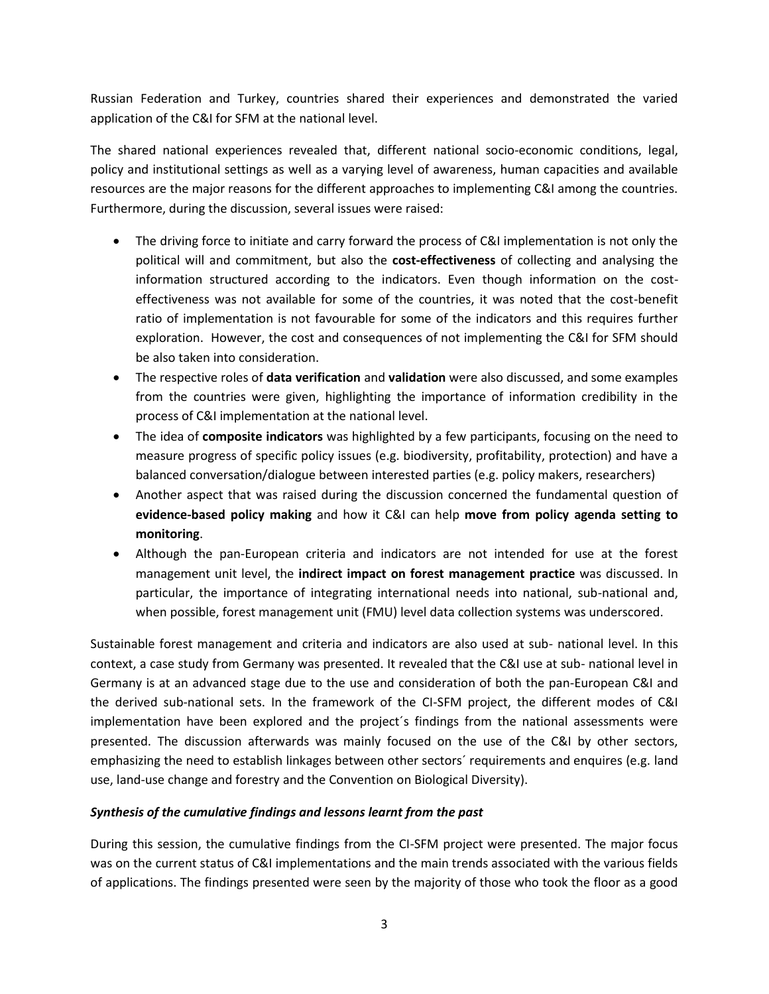Russian Federation and Turkey, countries shared their experiences and demonstrated the varied application of the C&I for SFM at the national level.

The shared national experiences revealed that, different national socio-economic conditions, legal, policy and institutional settings as well as a varying level of awareness, human capacities and available resources are the major reasons for the different approaches to implementing C&I among the countries. Furthermore, during the discussion, several issues were raised:

- The driving force to initiate and carry forward the process of C&I implementation is not only the political will and commitment, but also the **cost-effectiveness** of collecting and analysing the information structured according to the indicators. Even though information on the costeffectiveness was not available for some of the countries, it was noted that the cost-benefit ratio of implementation is not favourable for some of the indicators and this requires further exploration. However, the cost and consequences of not implementing the C&I for SFM should be also taken into consideration.
- The respective roles of **data verification** and **validation** were also discussed, and some examples from the countries were given, highlighting the importance of information credibility in the process of C&I implementation at the national level.
- The idea of **composite indicators** was highlighted by a few participants, focusing on the need to measure progress of specific policy issues (e.g. biodiversity, profitability, protection) and have a balanced conversation/dialogue between interested parties (e.g. policy makers, researchers)
- Another aspect that was raised during the discussion concerned the fundamental question of **evidence-based policy making** and how it C&I can help **move from policy agenda setting to monitoring**.
- Although the pan-European criteria and indicators are not intended for use at the forest management unit level, the **indirect impact on forest management practice** was discussed. In particular, the importance of integrating international needs into national, sub-national and, when possible, forest management unit (FMU) level data collection systems was underscored.

Sustainable forest management and criteria and indicators are also used at sub- national level. In this context, a case study from Germany was presented. It revealed that the C&I use at sub- national level in Germany is at an advanced stage due to the use and consideration of both the pan-European C&I and the derived sub-national sets. In the framework of the CI-SFM project, the different modes of C&I implementation have been explored and the project´s findings from the national assessments were presented. The discussion afterwards was mainly focused on the use of the C&I by other sectors, emphasizing the need to establish linkages between other sectors´ requirements and enquires (e.g. land use, land-use change and forestry and the Convention on Biological Diversity).

# *Synthesis of the cumulative findings and lessons learnt from the past*

During this session, the cumulative findings from the CI-SFM project were presented. The major focus was on the current status of C&I implementations and the main trends associated with the various fields of applications. The findings presented were seen by the majority of those who took the floor as a good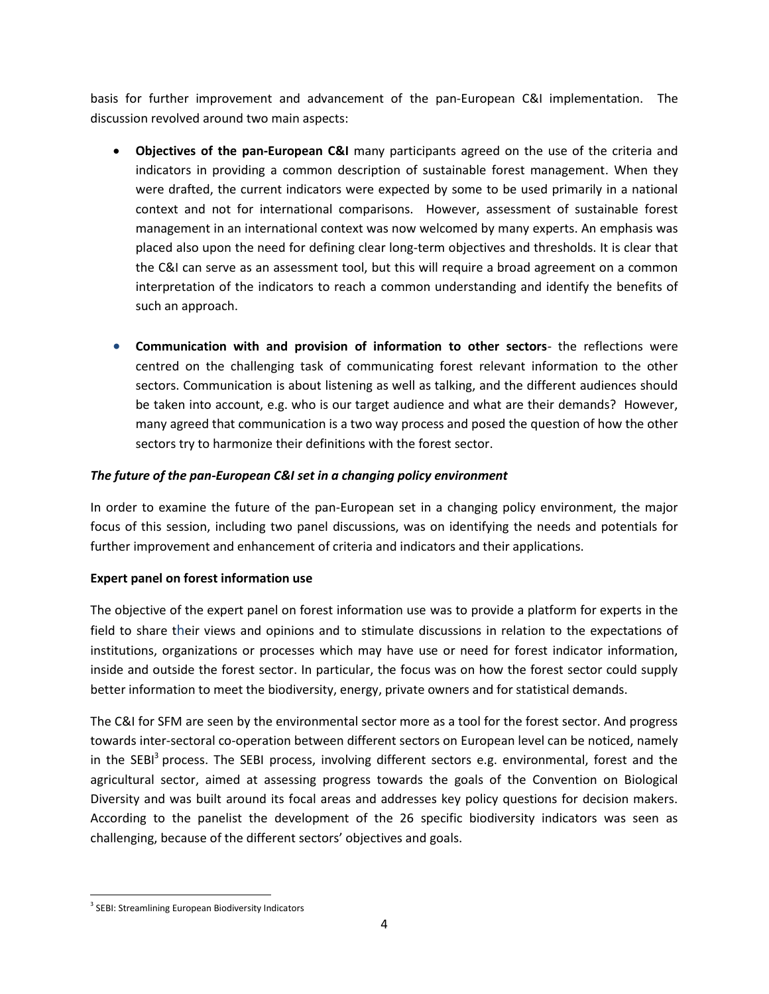basis for further improvement and advancement of the pan-European C&I implementation. The discussion revolved around two main aspects:

- **Objectives of the pan-European C&I** many participants agreed on the use of the criteria and indicators in providing a common description of sustainable forest management. When they were drafted, the current indicators were expected by some to be used primarily in a national context and not for international comparisons. However, assessment of sustainable forest management in an international context was now welcomed by many experts. An emphasis was placed also upon the need for defining clear long-term objectives and thresholds. It is clear that the C&I can serve as an assessment tool, but this will require a broad agreement on a common interpretation of the indicators to reach a common understanding and identify the benefits of such an approach.
- **Communication with and provision of information to other sectors** the reflections were centred on the challenging task of communicating forest relevant information to the other sectors. Communication is about listening as well as talking, and the different audiences should be taken into account, e.g. who is our target audience and what are their demands? However, many agreed that communication is a two way process and posed the question of how the other sectors try to harmonize their definitions with the forest sector.

# *The future of the pan-European C&I set in a changing policy environment*

In order to examine the future of the pan-European set in a changing policy environment, the major focus of this session, including two panel discussions, was on identifying the needs and potentials for further improvement and enhancement of criteria and indicators and their applications.

# **Expert panel on forest information use**

The objective of the expert panel on forest information use was to provide a platform for experts in the field to share their views and opinions and to stimulate discussions in relation to the expectations of institutions, organizations or processes which may have use or need for forest indicator information, inside and outside the forest sector. In particular, the focus was on how the forest sector could supply better information to meet the biodiversity, energy, private owners and for statistical demands.

The C&I for SFM are seen by the environmental sector more as a tool for the forest sector. And progress towards inter-sectoral co-operation between different sectors on European level can be noticed, namely in the SEBI<sup>3</sup> process. The SEBI process, involving different sectors e.g. environmental, forest and the agricultural sector, aimed at assessing progress towards the goals of the Convention on Biological Diversity and was built around its focal areas and addresses key policy questions for decision makers. According to the panelist the development of the 26 specific biodiversity indicators was seen as challenging, because of the different sectors' objectives and goals.

 $\overline{a}$ <sup>3</sup> SEBI: Streamlining European Biodiversity Indicators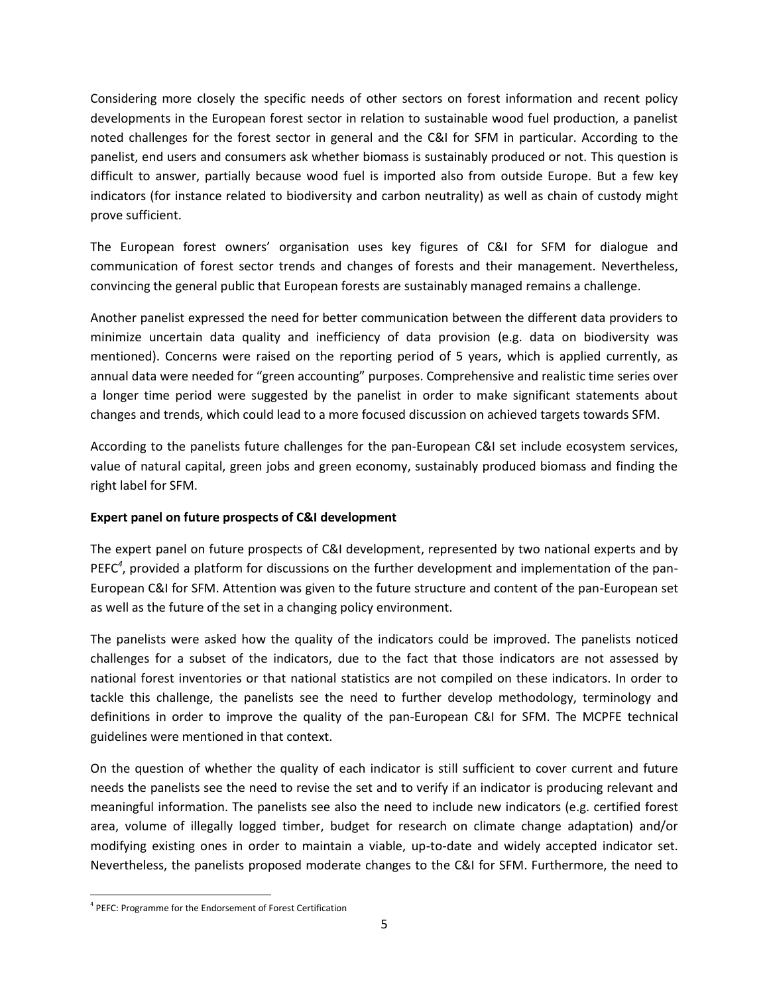Considering more closely the specific needs of other sectors on forest information and recent policy developments in the European forest sector in relation to sustainable wood fuel production, a panelist noted challenges for the forest sector in general and the C&I for SFM in particular. According to the panelist, end users and consumers ask whether biomass is sustainably produced or not. This question is difficult to answer, partially because wood fuel is imported also from outside Europe. But a few key indicators (for instance related to biodiversity and carbon neutrality) as well as chain of custody might prove sufficient.

The European forest owners' organisation uses key figures of C&I for SFM for dialogue and communication of forest sector trends and changes of forests and their management. Nevertheless, convincing the general public that European forests are sustainably managed remains a challenge.

Another panelist expressed the need for better communication between the different data providers to minimize uncertain data quality and inefficiency of data provision (e.g. data on biodiversity was mentioned). Concerns were raised on the reporting period of 5 years, which is applied currently, as annual data were needed for "green accounting" purposes. Comprehensive and realistic time series over a longer time period were suggested by the panelist in order to make significant statements about changes and trends, which could lead to a more focused discussion on achieved targets towards SFM.

According to the panelists future challenges for the pan-European C&I set include ecosystem services, value of natural capital, green jobs and green economy, sustainably produced biomass and finding the right label for SFM.

# **Expert panel on future prospects of C&I development**

The expert panel on future prospects of C&I development, represented by two national experts and by PEFC<sup>4</sup>, provided a platform for discussions on the further development and implementation of the pan-European C&I for SFM. Attention was given to the future structure and content of the pan-European set as well as the future of the set in a changing policy environment.

The panelists were asked how the quality of the indicators could be improved. The panelists noticed challenges for a subset of the indicators, due to the fact that those indicators are not assessed by national forest inventories or that national statistics are not compiled on these indicators. In order to tackle this challenge, the panelists see the need to further develop methodology, terminology and definitions in order to improve the quality of the pan-European C&I for SFM. The MCPFE technical guidelines were mentioned in that context.

On the question of whether the quality of each indicator is still sufficient to cover current and future needs the panelists see the need to revise the set and to verify if an indicator is producing relevant and meaningful information. The panelists see also the need to include new indicators (e.g. certified forest area, volume of illegally logged timber, budget for research on climate change adaptation) and/or modifying existing ones in order to maintain a viable, up-to-date and widely accepted indicator set. Nevertheless, the panelists proposed moderate changes to the C&I for SFM. Furthermore, the need to

 $\overline{a}$ <sup>4</sup> PEFC: Programme for the Endorsement of Forest Certification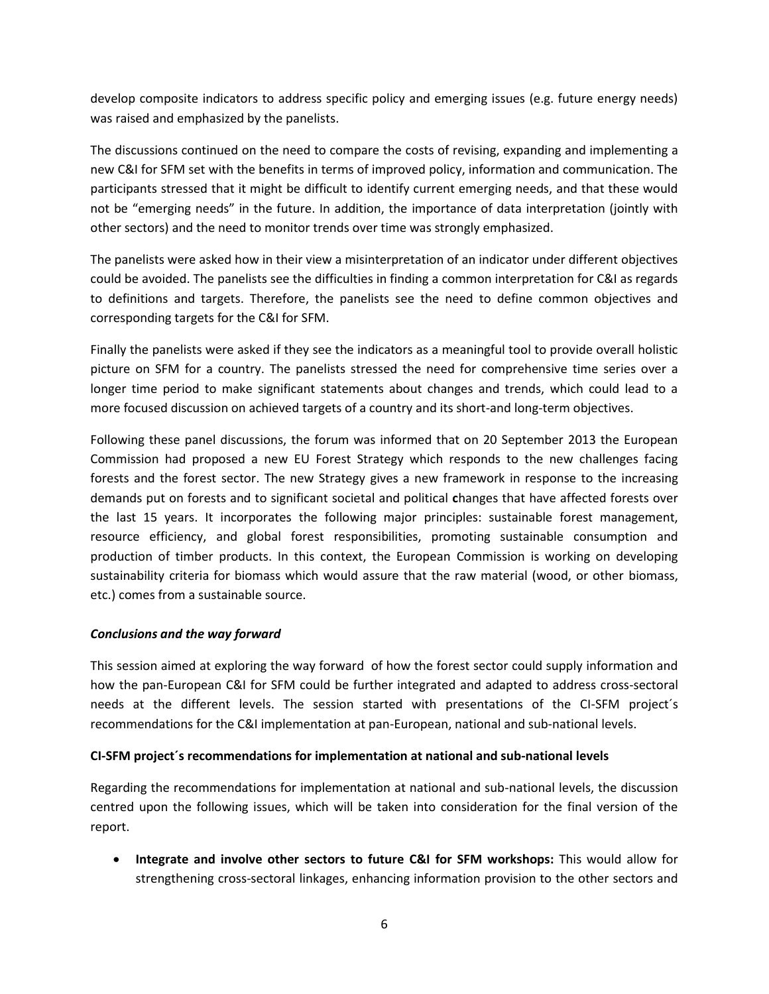develop composite indicators to address specific policy and emerging issues (e.g. future energy needs) was raised and emphasized by the panelists.

The discussions continued on the need to compare the costs of revising, expanding and implementing a new C&I for SFM set with the benefits in terms of improved policy, information and communication. The participants stressed that it might be difficult to identify current emerging needs, and that these would not be "emerging needs" in the future. In addition, the importance of data interpretation (jointly with other sectors) and the need to monitor trends over time was strongly emphasized.

The panelists were asked how in their view a misinterpretation of an indicator under different objectives could be avoided. The panelists see the difficulties in finding a common interpretation for C&I as regards to definitions and targets. Therefore, the panelists see the need to define common objectives and corresponding targets for the C&I for SFM.

Finally the panelists were asked if they see the indicators as a meaningful tool to provide overall holistic picture on SFM for a country. The panelists stressed the need for comprehensive time series over a longer time period to make significant statements about changes and trends, which could lead to a more focused discussion on achieved targets of a country and its short-and long-term objectives.

Following these panel discussions, the forum was informed that on 20 September 2013 the European Commission had proposed a new EU Forest Strategy which responds to the new challenges facing forests and the forest sector. The new Strategy gives a new framework in response to the increasing demands put on forests and to significant societal and political **c**hanges that have affected forests over the last 15 years. It incorporates the following major principles: sustainable forest management, resource efficiency, and global forest responsibilities, promoting sustainable consumption and production of timber products. In this context, the European Commission is working on developing sustainability criteria for biomass which would assure that the raw material (wood, or other biomass, etc.) comes from a sustainable source.

#### *Conclusions and the way forward*

This session aimed at exploring the way forward of how the forest sector could supply information and how the pan-European C&I for SFM could be further integrated and adapted to address cross-sectoral needs at the different levels. The session started with presentations of the CI-SFM project´s recommendations for the C&I implementation at pan-European, national and sub-national levels.

#### **CI-SFM project´s recommendations for implementation at national and sub-national levels**

Regarding the recommendations for implementation at national and sub-national levels, the discussion centred upon the following issues, which will be taken into consideration for the final version of the report.

 **Integrate and involve other sectors to future C&I for SFM workshops:** This would allow for strengthening cross-sectoral linkages, enhancing information provision to the other sectors and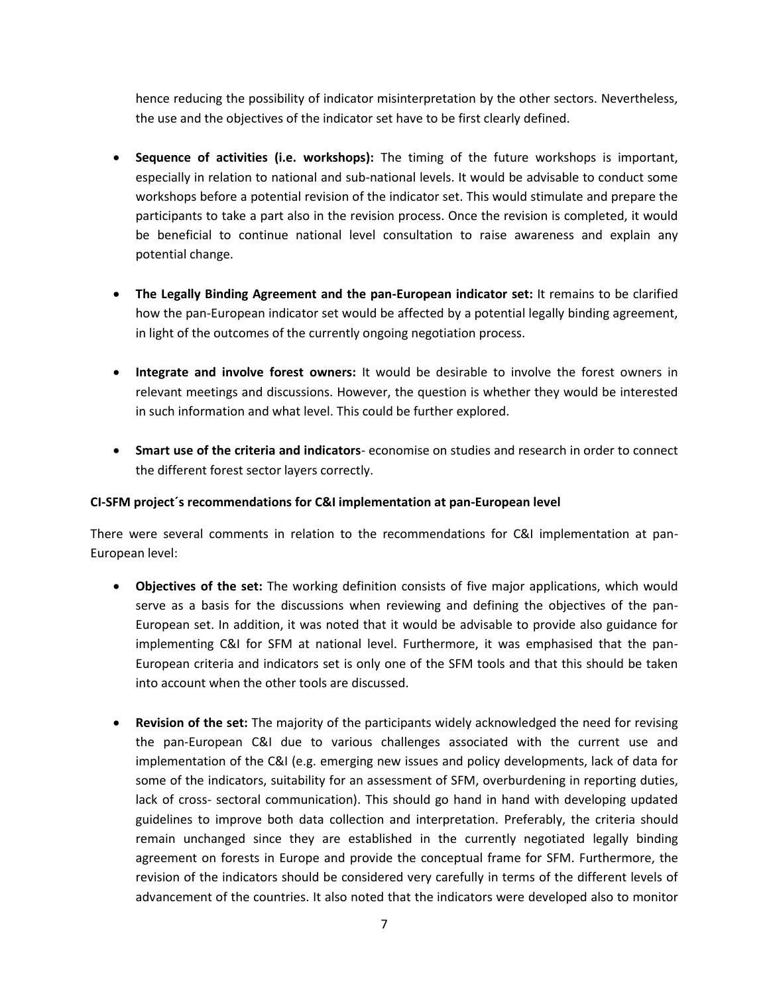hence reducing the possibility of indicator misinterpretation by the other sectors. Nevertheless, the use and the objectives of the indicator set have to be first clearly defined.

- **Sequence of activities (i.e. workshops):** The timing of the future workshops is important, especially in relation to national and sub-national levels. It would be advisable to conduct some workshops before a potential revision of the indicator set. This would stimulate and prepare the participants to take a part also in the revision process. Once the revision is completed, it would be beneficial to continue national level consultation to raise awareness and explain any potential change.
- **The Legally Binding Agreement and the pan-European indicator set:** It remains to be clarified how the pan-European indicator set would be affected by a potential legally binding agreement, in light of the outcomes of the currently ongoing negotiation process.
- **Integrate and involve forest owners:** It would be desirable to involve the forest owners in relevant meetings and discussions. However, the question is whether they would be interested in such information and what level. This could be further explored.
- **Smart use of the criteria and indicators** economise on studies and research in order to connect the different forest sector layers correctly.

## **CI-SFM project´s recommendations for C&I implementation at pan-European level**

There were several comments in relation to the recommendations for C&I implementation at pan-European level:

- **Objectives of the set:** The working definition consists of five major applications, which would serve as a basis for the discussions when reviewing and defining the objectives of the pan-European set. In addition, it was noted that it would be advisable to provide also guidance for implementing C&I for SFM at national level. Furthermore, it was emphasised that the pan-European criteria and indicators set is only one of the SFM tools and that this should be taken into account when the other tools are discussed.
- **Revision of the set:** The majority of the participants widely acknowledged the need for revising the pan-European C&I due to various challenges associated with the current use and implementation of the C&I (e.g. emerging new issues and policy developments, lack of data for some of the indicators, suitability for an assessment of SFM, overburdening in reporting duties, lack of cross‐ sectoral communication). This should go hand in hand with developing updated guidelines to improve both data collection and interpretation. Preferably, the criteria should remain unchanged since they are established in the currently negotiated legally binding agreement on forests in Europe and provide the conceptual frame for SFM. Furthermore, the revision of the indicators should be considered very carefully in terms of the different levels of advancement of the countries. It also noted that the indicators were developed also to monitor